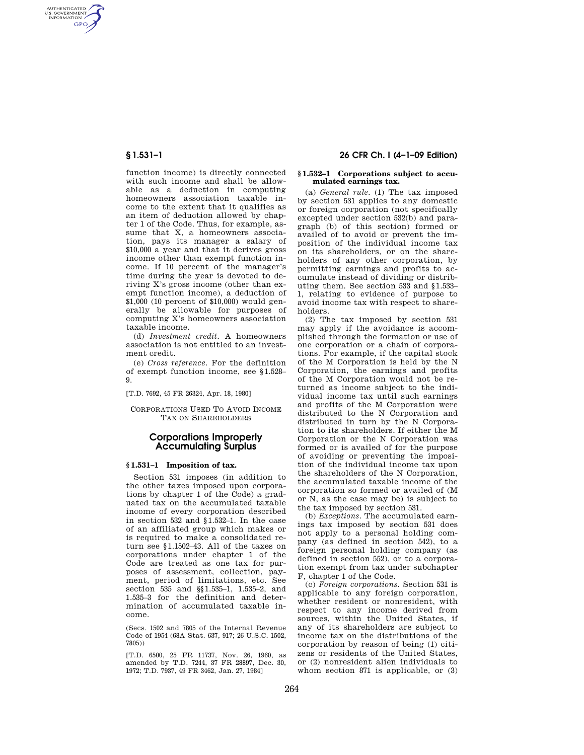AUTHENTICATED<br>U.S. GOVERNMENT<br>INFORMATION **GPO** 

> function income) is directly connected with such income and shall be allowable as a deduction in computing homeowners association taxable income to the extent that it qualifies as an item of deduction allowed by chapter 1 of the Code. Thus, for example, assume that X, a homeowners association, pays its manager a salary of \$10,000 a year and that it derives gross income other than exempt function income. If 10 percent of the manager's time during the year is devoted to deriving X's gross income (other than exempt function income), a deduction of \$1,000 (10 percent of \$10,000) would generally be allowable for purposes of computing X's homeowners association taxable income.

(d) *Investment credit.* A homeowners association is not entitled to an investment credit.

(e) *Cross reference.* For the definition of exempt function income, see §1.528– 9.

[T.D. 7692, 45 FR 26324, Apr. 18, 1980]

CORPORATIONS USED TO AVOID INCOME TAX ON SHAREHOLDERS

# **Corporations Improperly Accumulating Surplus**

## **§ 1.531–1 Imposition of tax.**

Section 531 imposes (in addition to the other taxes imposed upon corporations by chapter 1 of the Code) a graduated tax on the accumulated taxable income of every corporation described in section 532 and §1.532–1. In the case of an affiliated group which makes or is required to make a consolidated return see §1.1502–43. All of the taxes on corporations under chapter 1 of the Code are treated as one tax for purposes of assessment, collection, payment, period of limitations, etc. See section 535 and §§1.535–1, 1.535–2, and 1.535–3 for the definition and determination of accumulated taxable income.

(Secs. 1502 and 7805 of the Internal Revenue Code of 1954 (68A Stat. 637, 917; 26 U.S.C. 1502, 7805))

[T.D. 6500, 25 FR 11737, Nov. 26, 1960, as amended by T.D. 7244, 37 FR 28897, Dec. 30, 1972; T.D. 7937, 49 FR 3462, Jan. 27, 1984]

## **§ 1.531–1 26 CFR Ch. I (4–1–09 Edition)**

#### **§ 1.532–1 Corporations subject to accumulated earnings tax.**

(a) *General rule.* (1) The tax imposed by section 531 applies to any domestic or foreign corporation (not specifically excepted under section 532(b) and paragraph (b) of this section) formed or availed of to avoid or prevent the imposition of the individual income tax on its shareholders, or on the shareholders of any other corporation, by permitting earnings and profits to accumulate instead of dividing or distributing them. See section 533 and §1.533– 1, relating to evidence of purpose to avoid income tax with respect to shareholders.

(2) The tax imposed by section 531 may apply if the avoidance is accomplished through the formation or use of one corporation or a chain of corporations. For example, if the capital stock of the M Corporation is held by the N Corporation, the earnings and profits of the M Corporation would not be returned as income subject to the individual income tax until such earnings and profits of the M Corporation were distributed to the N Corporation and distributed in turn by the N Corporation to its shareholders. If either the M Corporation or the N Corporation was formed or is availed of for the purpose of avoiding or preventing the imposition of the individual income tax upon the shareholders of the N Corporation, the accumulated taxable income of the corporation so formed or availed of (M or N, as the case may be) is subject to the tax imposed by section 531.

(b) *Exceptions.* The accumulated earnings tax imposed by section 531 does not apply to a personal holding company (as defined in section 542), to a foreign personal holding company (as defined in section 552), or to a corporation exempt from tax under subchapter F, chapter 1 of the Code.

(c) *Foreign corporations.* Section 531 is applicable to any foreign corporation, whether resident or nonresident, with respect to any income derived from sources, within the United States, if any of its shareholders are subject to income tax on the distributions of the corporation by reason of being (1) citizens or residents of the United States, or (2) nonresident alien individuals to whom section 871 is applicable, or  $(3)$